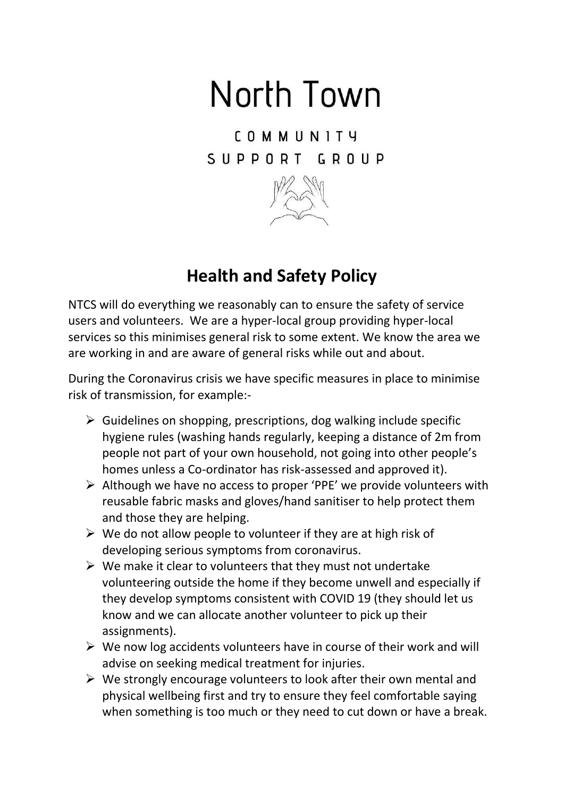## North Town

**COMMUNITY** SUPPORT GROUP



## **Health and Safety Policy**

NTCS will do everything we reasonably can to ensure the safety of service users and volunteers. We are a hyper-local group providing hyper-local services so this minimises general risk to some extent. We know the area we are working in and are aware of general risks while out and about.

During the Coronavirus crisis we have specific measures in place to minimise risk of transmission, for example:-

- $\triangleright$  Guidelines on shopping, prescriptions, dog walking include specific hygiene rules (washing hands regularly, keeping a distance of 2m from people not part of your own household, not going into other people's homes unless a Co-ordinator has risk-assessed and approved it).
- $\triangleright$  Although we have no access to proper 'PPE' we provide volunteers with reusable fabric masks and gloves/hand sanitiser to help protect them and those they are helping.
- $\triangleright$  We do not allow people to volunteer if they are at high risk of developing serious symptoms from coronavirus.
- $\triangleright$  We make it clear to volunteers that they must not undertake volunteering outside the home if they become unwell and especially if they develop symptoms consistent with COVID 19 (they should let us know and we can allocate another volunteer to pick up their assignments).
- $\triangleright$  We now log accidents volunteers have in course of their work and will advise on seeking medical treatment for injuries.
- $\triangleright$  We strongly encourage volunteers to look after their own mental and physical wellbeing first and try to ensure they feel comfortable saying when something is too much or they need to cut down or have a break.